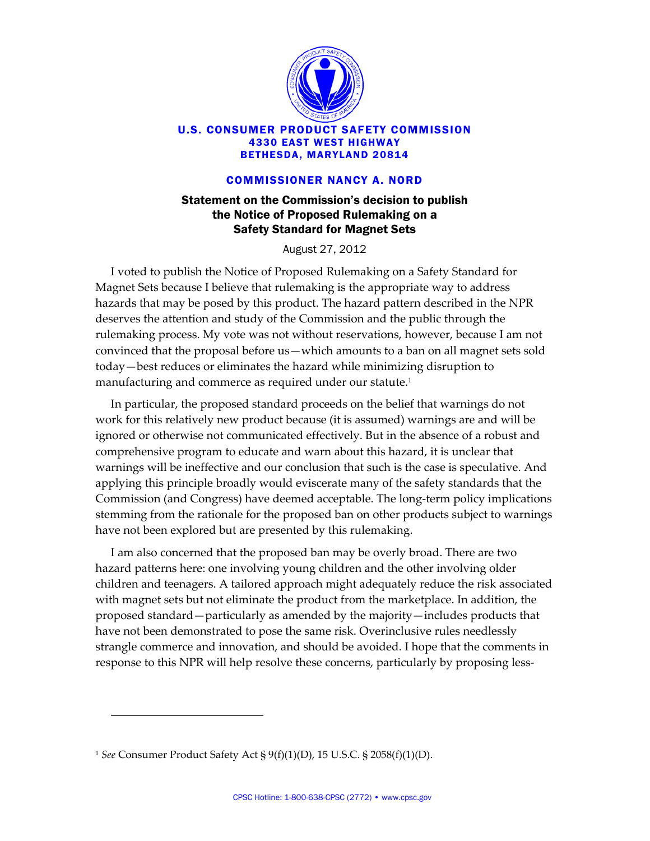

## U.S. CONSUMER PRODUCT SAFETY COMMISSION 4330 EAST WEST HIGHWAY BETHESDA, MARYLAND 20814

## COMMISSIONER NANCY A. NORD

## Statement on the Commission's decision to publish the Notice of Proposed Rulemaking on a Safety Standard for Magnet Sets

August 27, 2012

I voted to publish the Notice of Proposed Rulemaking on a Safety Standard for Magnet Sets because I believe that rulemaking is the appropriate way to address hazards that may be posed by this product. The hazard pattern described in the NPR deserves the attention and study of the Commission and the public through the rulemaking process. My vote was not without reservations, however, because I am not convinced that the proposal before us—which amounts to a ban on all magnet sets sold today—best reduces or eliminates the hazard while minimizing disruption to manufacturing and commerce as required under our statute.<sup>1</sup>

In particular, the proposed standard proceeds on the belief that warnings do not work for this relatively new product because (it is assumed) warnings are and will be ignored or otherwise not communicated effectively. But in the absence of a robust and comprehensive program to educate and warn about this hazard, it is unclear that warnings will be ineffective and our conclusion that such is the case is speculative. And applying this principle broadly would eviscerate many of the safety standards that the Commission (and Congress) have deemed acceptable. The long‐term policy implications stemming from the rationale for the proposed ban on other products subject to warnings have not been explored but are presented by this rulemaking.

I am also concerned that the proposed ban may be overly broad. There are two hazard patterns here: one involving young children and the other involving older children and teenagers. A tailored approach might adequately reduce the risk associated with magnet sets but not eliminate the product from the marketplace. In addition, the proposed standard—particularly as amended by the majority—includes products that have not been demonstrated to pose the same risk. Overinclusive rules needlessly strangle commerce and innovation, and should be avoided. I hope that the comments in response to this NPR will help resolve these concerns, particularly by proposing less-

<u> 1989 - Johann Stoff, deutscher Stoffen und der Stoffen und der Stoffen und der Stoffen und der Stoffen und der</u>

<sup>1</sup> *See* Consumer Product Safety Act § 9(f)(1)(D), 15 U.S.C. § 2058(f)(1)(D).